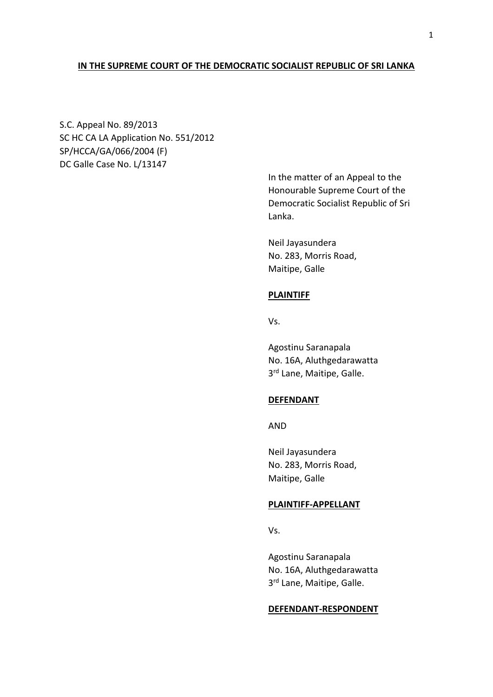# **IN THE SUPREME COURT OF THE DEMOCRATIC SOCIALIST REPUBLIC OF SRI LANKA**

S.C. Appeal No. 89/2013 SC HC CA LA Application No. 551/2012 SP/HCCA/GA/066/2004 (F) DC Galle Case No. L/13147

> In the matter of an Appeal to the Honourable Supreme Court of the Democratic Socialist Republic of Sri Lanka.

Neil Jayasundera No. 283, Morris Road, Maitipe, Galle

# **PLAINTIFF**

Vs.

Agostinu Saranapala No. 16A, Aluthgedarawatta 3<sup>rd</sup> Lane, Maitipe, Galle.

# **DEFENDANT**

AND

Neil Jayasundera No. 283, Morris Road, Maitipe, Galle

# **PLAINTIFF-APPELLANT**

Vs.

Agostinu Saranapala No. 16A, Aluthgedarawatta 3<sup>rd</sup> Lane, Maitipe, Galle.

#### **DEFENDANT-RESPONDENT**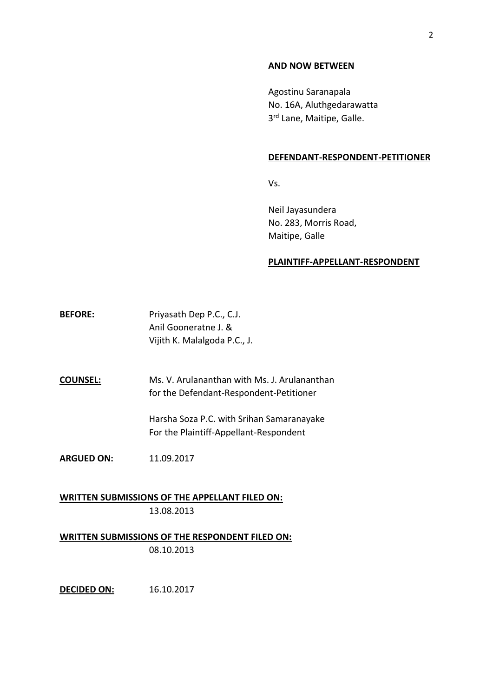#### **AND NOW BETWEEN**

Agostinu Saranapala No. 16A, Aluthgedarawatta 3<sup>rd</sup> Lane, Maitipe, Galle.

#### **DEFENDANT-RESPONDENT-PETITIONER**

Vs.

Neil Jayasundera No. 283, Morris Road, Maitipe, Galle

## **PLAINTIFF-APPELLANT-RESPONDENT**

**BEFORE:** Priyasath Dep P.C., C.J. Anil Gooneratne J. & Vijith K. Malalgoda P.C., J.

**COUNSEL:** Ms. V. Arulananthan with Ms. J. Arulananthan for the Defendant-Respondent-Petitioner

> Harsha Soza P.C. with Srihan Samaranayake For the Plaintiff-Appellant-Respondent

**ARGUED ON:** 11.09.2017

**WRITTEN SUBMISSIONS OF THE APPELLANT FILED ON:** 13.08.2013

**WRITTEN SUBMISSIONS OF THE RESPONDENT FILED ON:** 08.10.2013

**DECIDED ON:** 16.10.2017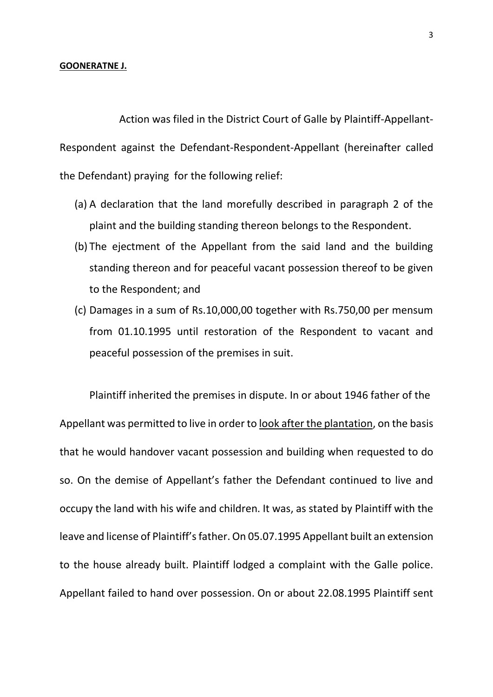# **GOONERATNE J.**

Action was filed in the District Court of Galle by Plaintiff-Appellant-Respondent against the Defendant-Respondent-Appellant (hereinafter called the Defendant) praying for the following relief:

- (a) A declaration that the land morefully described in paragraph 2 of the plaint and the building standing thereon belongs to the Respondent.
- (b) The ejectment of the Appellant from the said land and the building standing thereon and for peaceful vacant possession thereof to be given to the Respondent; and
- (c) Damages in a sum of Rs.10,000,00 together with Rs.750,00 per mensum from 01.10.1995 until restoration of the Respondent to vacant and peaceful possession of the premises in suit.

Plaintiff inherited the premises in dispute. In or about 1946 father of the Appellant was permitted to live in order to look after the plantation, on the basis that he would handover vacant possession and building when requested to do so. On the demise of Appellant's father the Defendant continued to live and occupy the land with his wife and children. It was, as stated by Plaintiff with the leave and license of Plaintiff's father. On 05.07.1995 Appellant built an extension to the house already built. Plaintiff lodged a complaint with the Galle police. Appellant failed to hand over possession. On or about 22.08.1995 Plaintiff sent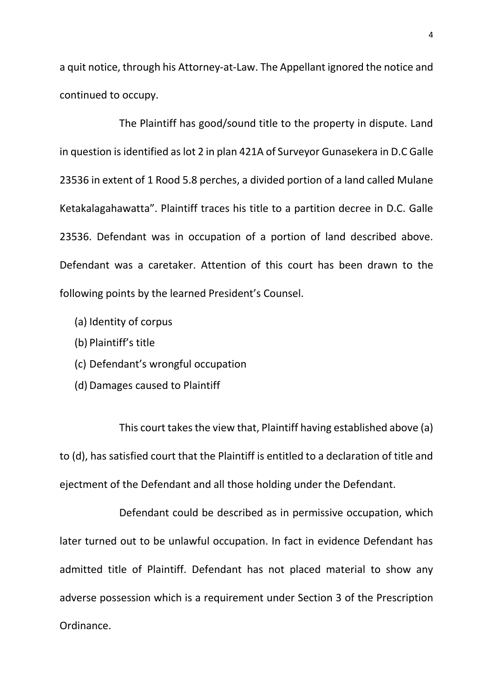a quit notice, through his Attorney-at-Law. The Appellant ignored the notice and continued to occupy.

The Plaintiff has good/sound title to the property in dispute. Land in question is identified as lot 2 in plan 421A of Surveyor Gunasekera in D.C Galle 23536 in extent of 1 Rood 5.8 perches, a divided portion of a land called Mulane Ketakalagahawatta". Plaintiff traces his title to a partition decree in D.C. Galle 23536. Defendant was in occupation of a portion of land described above. Defendant was a caretaker. Attention of this court has been drawn to the following points by the learned President's Counsel.

- (a) Identity of corpus
- (b) Plaintiff's title
- (c) Defendant's wrongful occupation
- (d) Damages caused to Plaintiff

This court takes the view that, Plaintiff having established above (a) to (d), has satisfied court that the Plaintiff is entitled to a declaration of title and ejectment of the Defendant and all those holding under the Defendant.

Defendant could be described as in permissive occupation, which later turned out to be unlawful occupation. In fact in evidence Defendant has admitted title of Plaintiff. Defendant has not placed material to show any adverse possession which is a requirement under Section 3 of the Prescription Ordinance.